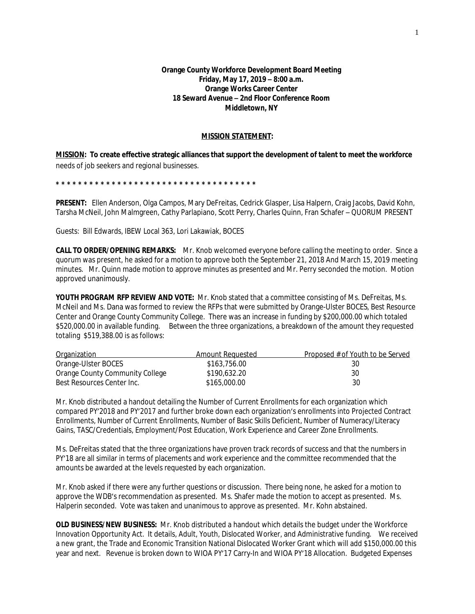## **Orange County Workforce Development Board Meeting Friday, May 17, 2019 – 8:00 a.m. Orange Works Career Center 18 Seward Avenue – 2nd Floor Conference Room Middletown, NY**

## **MISSION STATEMENT:**

**MISSION: To create effective strategic alliances that support the development of talent to meet the workforce**  needs of job seekers and regional businesses.

**\* \* \* \* \* \* \* \* \* \* \* \* \* \* \* \* \* \* \* \* \* \* \* \* \* \* \* \* \* \* \* \* \* \* \* \*** 

**PRESENT:** Ellen Anderson, Olga Campos, Mary DeFreitas, Cedrick Glasper, Lisa Halpern, Craig Jacobs, David Kohn, Tarsha McNeil, John Malmgreen, Cathy Parlapiano, Scott Perry, Charles Quinn, Fran Schafer – QUORUM PRESENT

Guests: Bill Edwards, IBEW Local 363, Lori Lakawiak, BOCES

**CALL TO ORDER/OPENING REMARKS:** Mr. Knob welcomed everyone before calling the meeting to order. Since a quorum was present, he asked for a motion to approve both the September 21, 2018 And March 15, 2019 meeting minutes. Mr. Quinn made motion to approve minutes as presented and Mr. Perry seconded the motion. Motion approved unanimously.

**YOUTH PROGRAM RFP REVIEW AND VOTE:** Mr. Knob stated that a committee consisting of Ms. DeFreitas, Ms. McNeil and Ms. Dana was formed to review the RFPs that were submitted by Orange-Ulster BOCES, Best Resource Center and Orange County Community College. There was an increase in funding by \$200,000.00 which totaled \$520,000.00 in available funding. Between the three organizations, a breakdown of the amount they requested totaling \$519,388.00 is as follows:

| <b>Organization</b>             | Amount Requested | Proposed # of Youth to be Served |
|---------------------------------|------------------|----------------------------------|
| Orange-Ulster BOCES             | \$163,756.00     | 30                               |
| Orange County Community College | \$190,632.20     | 30                               |
| Best Resources Center Inc.      | \$165,000.00     | 30                               |

Mr. Knob distributed a handout detailing the Number of Current Enrollments for each organization which compared PY'2018 and PY'2017 and further broke down each organization's enrollments into Projected Contract Enrollments, Number of Current Enrollments, Number of Basic Skills Deficient, Number of Numeracy/Literacy Gains, TASC/Credentials, Employment/Post Education, Work Experience and Career Zone Enrollments.

Ms. DeFreitas stated that the three organizations have proven track records of success and that the numbers in PY'18 are all similar in terms of placements and work experience and the committee recommended that the amounts be awarded at the levels requested by each organization.

Mr. Knob asked if there were any further questions or discussion. There being none, he asked for a motion to approve the WDB's recommendation as presented. Ms. Shafer made the motion to accept as presented. Ms. Halperin seconded. Vote was taken and unanimous to approve as presented. Mr. Kohn abstained.

**OLD BUSINESS/NEW BUSINESS:** Mr. Knob distributed a handout which details the budget under the Workforce Innovation Opportunity Act. It details, Adult, Youth, Dislocated Worker, and Administrative funding. We received a new grant, the Trade and Economic Transition National Dislocated Worker Grant which will add \$150,000.00 this year and next. Revenue is broken down to WIOA PY'17 Carry-In and WIOA PY'18 Allocation. Budgeted Expenses